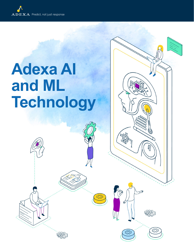## **Adexa AI and ML Technology**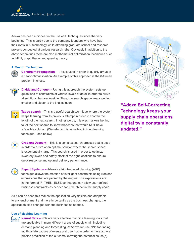Adexa has been a pioneer in the use of AI techniques since the very beginning. This is partly due to the company founders who have had their roots in AI technology while attending graduate school and research projects conducted at various research labs. Obviously in addition to the above techniques there are also mathematical optimization techniques such as MILP, graph theory and queuing theory.

## **AI Search Techniques**



**Constraint Propagation –** This is used in order to quickly arrive at a near-optimal solution. An example of this approach is the 8-Queen problem in chess.



**Divide and Conquer –** Using this approach the system sets up guidelines of constraints at various levels of detail in order to arrive at solutions that are feasible. Thus, the search space keeps getting smaller and closer to the final solution



**Taboo search –** This is a useful search technique where the system keeps learning from its previous attempt in order to shorten the length of the next search. In other words, it leaves markers behind to let the next search to know branches that would NOT have a feasible solution. (We refer to this as self-optimizing learning technique—see below)



**Gradient Descent –** This is a complex search process that is used in order to arrive at an optimal solution where the search space is exponentially large. This search is used in order to optimize inventory levels and safety stock at the right locations to ensure quick response and optimal delivery performance.



**Expert Systems –** Adexa's attribute-based planning (ABP) technique allows the creation of intelligent constraints using Boolean expressions that are parsed by the engine. The expressions are in the form of IF\_THEN\_ELSE so that one can allow user-defined business constraints as needed for ANY object in the supply chain.

As it can be seen this makes the application very flexible and adaptable to any environment and more importantly as the business changes, the application also changes with the business as needed.

## **Use of Machine Learning**





**"Adexa Self-Correcting Technology keeps your supply chain operations digital twin constantly updated."**